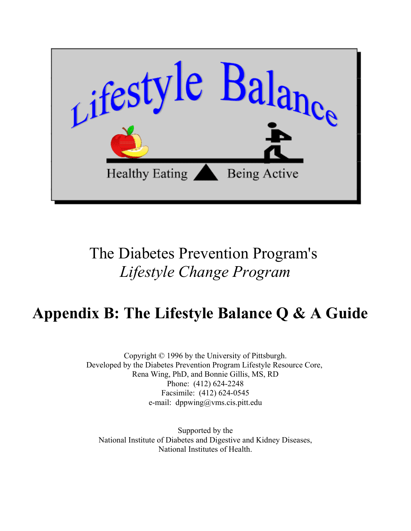

# The Diabetes Prevention Program's *Lifestyle Change Program*

# **Appendix B: The Lifestyle Balance Q & A Guide**

Copyright © 1996 by the University of Pittsburgh. Developed by the Diabetes Prevention Program Lifestyle Resource Core, Rena Wing, PhD, and Bonnie Gillis, MS, RD Phone: (412) 624-2248 Facsimile: (412) 624-0545 e-mail: dppwing@vms.cis.pitt.edu

Supported by the [National Institute of Diabetes and Digestive and Kidney Diseases,](http://www.niddk.nih.gov) [National Institutes of Health.](http://www.nih.gov)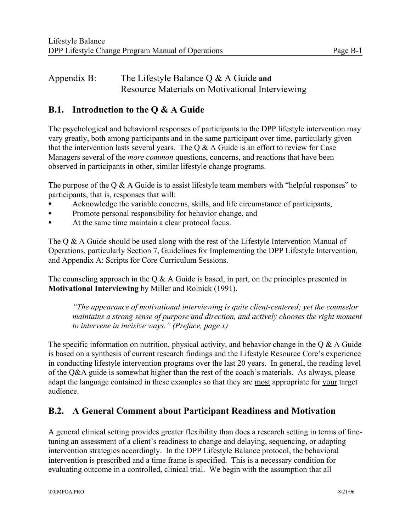# Appendix B: The Lifestyle Balance Q & A Guide **and**  Resource Materials on Motivational Interviewing

# **B.1. Introduction to the Q & A Guide**

The psychological and behavioral responses of participants to the DPP lifestyle intervention may vary greatly, both among participants and in the same participant over time, particularly given that the intervention lasts several years. The  $Q & A$  Guide is an effort to review for Case Managers several of the *more common* questions, concerns, and reactions that have been observed in participants in other, similar lifestyle change programs.

The purpose of the  $Q \& A$  Guide is to assist lifestyle team members with "helpful responses" to participants, that is, responses that will:

- Acknowledge the variable concerns, skills, and life circumstance of participants,
- Promote personal responsibility for behavior change, and
- At the same time maintain a clear protocol focus.

The  $\Omega \& \Lambda$  Guide should be used along with the rest of the Lifestyle Intervention Manual of Operations, particularly Section 7, Guidelines for Implementing the DPP Lifestyle Intervention, and Appendix A: Scripts for Core Curriculum Sessions.

The counseling approach in the Q  $\&$  A Guide is based, in part, on the principles presented in **Motivational Interviewing** by Miller and Rolnick (1991).

*"The appearance of motivational interviewing is quite client-centered; yet the counselor maintains a strong sense of purpose and direction, and actively chooses the right moment to intervene in incisive ways." (Preface, page x)* 

The specific information on nutrition, physical activity, and behavior change in the  $\alpha \& A$  Guide is based on a synthesis of current research findings and the Lifestyle Resource Core's experience in conducting lifestyle intervention programs over the last 20 years. In general, the reading level of the Q&A guide is somewhat higher than the rest of the coach's materials. As always, please adapt the language contained in these examples so that they are most appropriate for your target audience.

# **B.2. A General Comment about Participant Readiness and Motivation**

A general clinical setting provides greater flexibility than does a research setting in terms of finetuning an assessment of a client's readiness to change and delaying, sequencing, or adapting intervention strategies accordingly. In the DPP Lifestyle Balance protocol, the behavioral intervention is prescribed and a time frame is specified. This is a necessary condition for evaluating outcome in a controlled, clinical trial. We begin with the assumption that all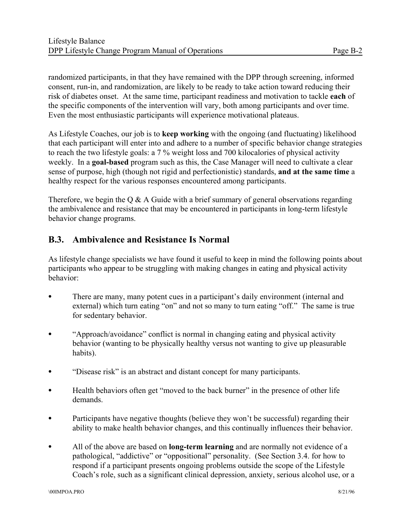randomized participants, in that they have remained with the DPP through screening, informed consent, run-in, and randomization, are likely to be ready to take action toward reducing their risk of diabetes onset. At the same time, participant readiness and motivation to tackle **each** of the specific components of the intervention will vary, both among participants and over time. Even the most enthusiastic participants will experience motivational plateaus.

As Lifestyle Coaches, our job is to **keep working** with the ongoing (and fluctuating) likelihood that each participant will enter into and adhere to a number of specific behavior change strategies to reach the two lifestyle goals: a 7 % weight loss and 700 kilocalories of physical activity weekly. In a **goal-based** program such as this, the Case Manager will need to cultivate a clear sense of purpose, high (though not rigid and perfectionistic) standards, **and at the same time** a healthy respect for the various responses encountered among participants.

Therefore, we begin the  $\overline{O} \& A$  Guide with a brief summary of general observations regarding the ambivalence and resistance that may be encountered in participants in long-term lifestyle behavior change programs.

# **B.3. Ambivalence and Resistance Is Normal**

As lifestyle change specialists we have found it useful to keep in mind the following points about participants who appear to be struggling with making changes in eating and physical activity behavior:

- There are many, many potent cues in a participant's daily environment (internal and external) which turn eating "on" and not so many to turn eating "off." The same is true for sedentary behavior.
- $\bullet$  "Approach/avoidance" conflict is normal in changing eating and physical activity behavior (wanting to be physically healthy versus not wanting to give up pleasurable habits).
- "Disease risk" is an abstract and distant concept for many participants.
- Health behaviors often get "moved to the back burner" in the presence of other life demands.
- $\bullet$  Participants have negative thoughts (believe they won't be successful) regarding their ability to make health behavior changes, and this continually influences their behavior.
- All of the above are based on **long-term learning** and are normally not evidence of a pathological, "addictive" or "oppositional" personality. (See Section 3.4. for how to respond if a participant presents ongoing problems outside the scope of the Lifestyle Coach's role, such as a significant clinical depression, anxiety, serious alcohol use, or a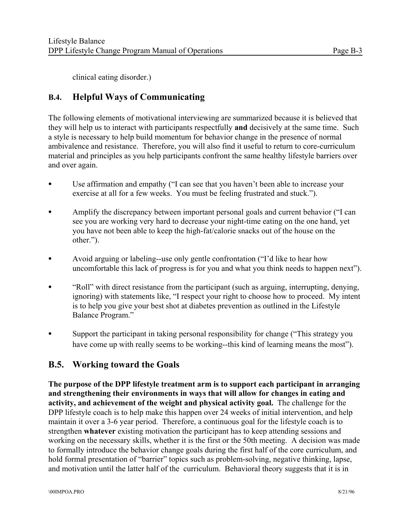clinical eating disorder.)

# **B.4. Helpful Ways of Communicating**

The following elements of motivational interviewing are summarized because it is believed that they will help us to interact with participants respectfully **and** decisively at the same time. Such a style is necessary to help build momentum for behavior change in the presence of normal ambivalence and resistance. Therefore, you will also find it useful to return to core-curriculum material and principles as you help participants confront the same healthy lifestyle barriers over and over again.

- Use affirmation and empathy ("I can see that you haven't been able to increase your exercise at all for a few weeks. You must be feeling frustrated and stuck.").
- Amplify the discrepancy between important personal goals and current behavior ("I can see you are working very hard to decrease your night-time eating on the one hand, yet you have not been able to keep the high-fat/calorie snacks out of the house on the other.").
- Avoid arguing or labeling--use only gentle confrontation ("I'd like to hear how uncomfortable this lack of progress is for you and what you think needs to happen next").
- "Roll" with direct resistance from the participant (such as arguing, interrupting, denying, ignoring) with statements like, "I respect your right to choose how to proceed. My intent is to help you give your best shot at diabetes prevention as outlined in the Lifestyle Balance Program."
- Support the participant in taking personal responsibility for change ("This strategy you have come up with really seems to be working--this kind of learning means the most").

# **B.5. Working toward the Goals**

**The purpose of the DPP lifestyle treatment arm is to support each participant in arranging and strengthening their environments in ways that will allow for changes in eating and activity, and achievement of the weight and physical activity goal.** The challenge for the DPP lifestyle coach is to help make this happen over 24 weeks of initial intervention, and help maintain it over a 3-6 year period. Therefore, a continuous goal for the lifestyle coach is to strengthen **whatever** existing motivation the participant has to keep attending sessions and working on the necessary skills, whether it is the first or the 50th meeting. A decision was made to formally introduce the behavior change goals during the first half of the core curriculum, and hold formal presentation of "barrier" topics such as problem-solving, negative thinking, lapse, and motivation until the latter half of the curriculum. Behavioral theory suggests that it is in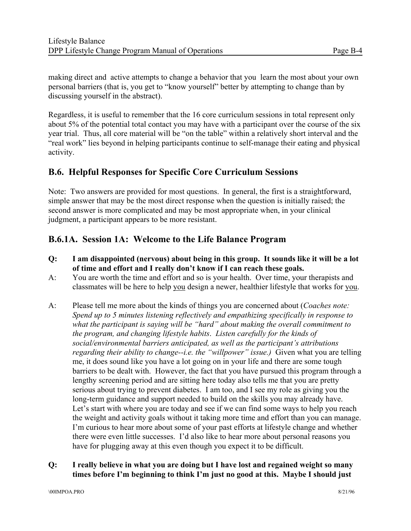making direct and active attempts to change a behavior that you learn the most about your own personal barriers (that is, you get to "know yourself" better by attempting to change than by discussing yourself in the abstract).

Regardless, it is useful to remember that the 16 core curriculum sessions in total represent only about 5% of the potential total contact you may have with a participant over the course of the six year trial. Thus, all core material will be "on the table" within a relatively short interval and the "real work" lies beyond in helping participants continue to self-manage their eating and physical activity.

# **B.6. Helpful Responses for Specific Core Curriculum Sessions**

Note: Two answers are provided for most questions. In general, the first is a straightforward, simple answer that may be the most direct response when the question is initially raised; the second answer is more complicated and may be most appropriate when, in your clinical judgment, a participant appears to be more resistant.

### **B.6.1A. Session 1A: Welcome to the Life Balance Program**

- **Q: I am disappointed (nervous) about being in this group. It sounds like it will be a lot of time and effort and I really don't know if I can reach these goals.**
- A: You are worth the time and effort and so is your health. Over time, your therapists and classmates will be here to help you design a newer, healthier lifestyle that works for you.
- A: Please tell me more about the kinds of things you are concerned about (*Coaches note: Spend up to 5 minutes listening reflectively and empathizing specifically in response to what the participant is saying will be "hard" about making the overall commitment to the program, and changing lifestyle habits*. *Listen carefully for the kinds of social/environmental barriers anticipated, as well as the participant's attributions regarding their ability to change--i.e. the "willpower" issue.)* Given what you are telling me, it does sound like you have a lot going on in your life and there are some tough barriers to be dealt with. However, the fact that you have pursued this program through a lengthy screening period and are sitting here today also tells me that you are pretty serious about trying to prevent diabetes. I am too, and I see my role as giving you the long-term guidance and support needed to build on the skills you may already have. Let's start with where you are today and see if we can find some ways to help you reach the weight and activity goals without it taking more time and effort than you can manage. I'm curious to hear more about some of your past efforts at lifestyle change and whether there were even little successes. I'd also like to hear more about personal reasons you have for plugging away at this even though you expect it to be difficult.

#### **Q: I really believe in what you are doing but I have lost and regained weight so many times before I'm beginning to think I'm just no good at this. Maybe I should just**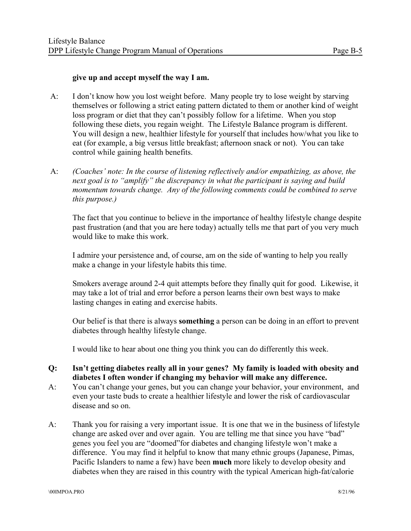#### **give up and accept myself the way I am.**

- A: I don't know how you lost weight before. Many people try to lose weight by starving themselves or following a strict eating pattern dictated to them or another kind of weight loss program or diet that they can't possibly follow for a lifetime. When you stop following these diets, you regain weight. The Lifestyle Balance program is different. You will design a new, healthier lifestyle for yourself that includes how/what you like to eat (for example, a big versus little breakfast; afternoon snack or not). You can take control while gaining health benefits.
- A: *(Coaches' note: In the course of listening reflectively and/or empathizing, as above, the next goal is to "amplify" the discrepancy in what the participant is saying and build momentum towards change. Any of the following comments could be combined to serve this purpose.)*

The fact that you continue to believe in the importance of healthy lifestyle change despite past frustration (and that you are here today) actually tells me that part of you very much would like to make this work.

I admire your persistence and, of course, am on the side of wanting to help you really make a change in your lifestyle habits this time.

Smokers average around 2-4 quit attempts before they finally quit for good. Likewise, it may take a lot of trial and error before a person learns their own best ways to make lasting changes in eating and exercise habits.

Our belief is that there is always **something** a person can be doing in an effort to prevent diabetes through healthy lifestyle change.

I would like to hear about one thing you think you can do differently this week.

- **Q: Isn't getting diabetes really all in your genes? My family is loaded with obesity and diabetes I often wonder if changing my behavior will make any difference.**
- A: You can't change your genes, but you can change your behavior, your environment, and even your taste buds to create a healthier lifestyle and lower the risk of cardiovascular disease and so on.
- A: Thank you for raising a very important issue. It is one that we in the business of lifestyle change are asked over and over again. You are telling me that since you have "bad" genes you feel you are "doomed"for diabetes and changing lifestyle won't make a difference. You may find it helpful to know that many ethnic groups (Japanese, Pimas, Pacific Islanders to name a few) have been **much** more likely to develop obesity and diabetes when they are raised in this country with the typical American high-fat/calorie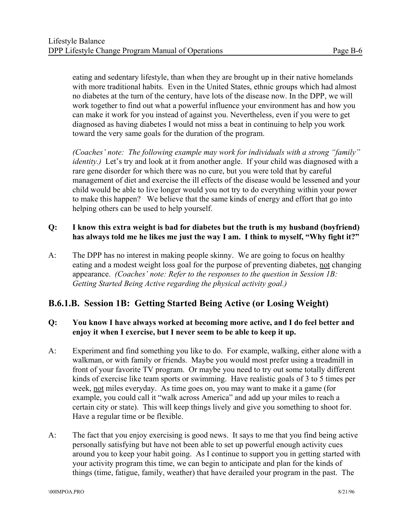eating and sedentary lifestyle, than when they are brought up in their native homelands with more traditional habits. Even in the United States, ethnic groups which had almost no diabetes at the turn of the century, have lots of the disease now. In the DPP, we will work together to find out what a powerful influence your environment has and how you can make it work for you instead of against you. Nevertheless, even if you were to get diagnosed as having diabetes I would not miss a beat in continuing to help you work toward the very same goals for the duration of the program.

*(Coaches' note: The following example may work for individuals with a strong "family" identity.*) Let's try and look at it from another angle. If your child was diagnosed with a rare gene disorder for which there was no cure, but you were told that by careful management of diet and exercise the ill effects of the disease would be lessened and your child would be able to live longer would you not try to do everything within your power to make this happen? We believe that the same kinds of energy and effort that go into helping others can be used to help yourself.

#### **Q: I know this extra weight is bad for diabetes but the truth is my husband (boyfriend) has always told me he likes me just the way I am. I think to myself, "Why fight it?"**

A: The DPP has no interest in making people skinny. We are going to focus on healthy eating and a modest weight loss goal for the purpose of preventing diabetes, not changing appearance. *(Coaches' note: Refer to the responses to the question in Session 1B: Getting Started Being Active regarding the physical activity goal.)* 

# **B.6.1.B. Session 1B: Getting Started Being Active (or Losing Weight)**

#### **Q: You know I have always worked at becoming more active, and I do feel better and enjoy it when I exercise, but I never seem to be able to keep it up.**

- A: Experiment and find something you like to do. For example, walking, either alone with a walkman, or with family or friends. Maybe you would most prefer using a treadmill in front of your favorite TV program. Or maybe you need to try out some totally different kinds of exercise like team sports or swimming. Have realistic goals of 3 to 5 times per week, not miles everyday. As time goes on, you may want to make it a game (for example, you could call it "walk across America" and add up your miles to reach a certain city or state). This will keep things lively and give you something to shoot for. Have a regular time or be flexible.
- A: The fact that you enjoy exercising is good news. It says to me that you find being active personally satisfying but have not been able to set up powerful enough activity cues around you to keep your habit going. As I continue to support you in getting started with your activity program this time, we can begin to anticipate and plan for the kinds of things (time, fatigue, family, weather) that have derailed your program in the past. The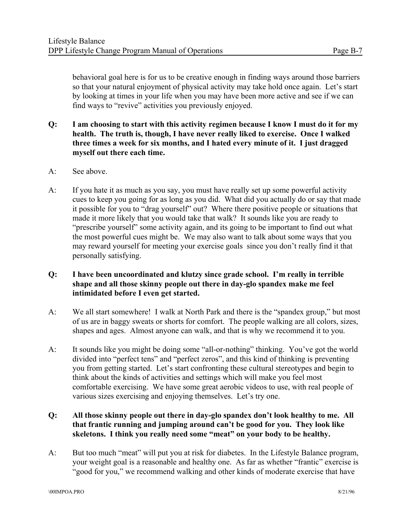behavioral goal here is for us to be creative enough in finding ways around those barriers so that your natural enjoyment of physical activity may take hold once again. Let's start by looking at times in your life when you may have been more active and see if we can find ways to "revive" activities you previously enjoyed.

- **Q: I am choosing to start with this activity regimen because I know I must do it for my health. The truth is, though, I have never really liked to exercise. Once I walked three times a week for six months, and I hated every minute of it. I just dragged myself out there each time.**
- A: See above.
- A: If you hate it as much as you say, you must have really set up some powerful activity cues to keep you going for as long as you did. What did you actually do or say that made it possible for you to "drag yourself" out? Where there positive people or situations that made it more likely that you would take that walk? It sounds like you are ready to "prescribe yourself" some activity again, and its going to be important to find out what the most powerful cues might be. We may also want to talk about some ways that you may reward yourself for meeting your exercise goals since you don't really find it that personally satisfying.
- **Q: I have been uncoordinated and klutzy since grade school. I'm really in terrible shape and all those skinny people out there in day-glo spandex make me feel intimidated before I even get started.**
- A: We all start somewhere! I walk at North Park and there is the "spandex group," but most of us are in baggy sweats or shorts for comfort. The people walking are all colors, sizes, shapes and ages. Almost anyone can walk, and that is why we recommend it to you.
- A: It sounds like you might be doing some "all-or-nothing" thinking. You've got the world divided into "perfect tens" and "perfect zeros", and this kind of thinking is preventing you from getting started. Let's start confronting these cultural stereotypes and begin to think about the kinds of activities and settings which will make you feel most comfortable exercising. We have some great aerobic videos to use, with real people of various sizes exercising and enjoying themselves. Let's try one.
- **Q: All those skinny people out there in day-glo spandex don't look healthy to me. All that frantic running and jumping around can't be good for you. They look like skeletons. I think you really need some "meat" on your body to be healthy.**
- A: But too much "meat" will put you at risk for diabetes. In the Lifestyle Balance program, your weight goal is a reasonable and healthy one. As far as whether "frantic" exercise is "good for you," we recommend walking and other kinds of moderate exercise that have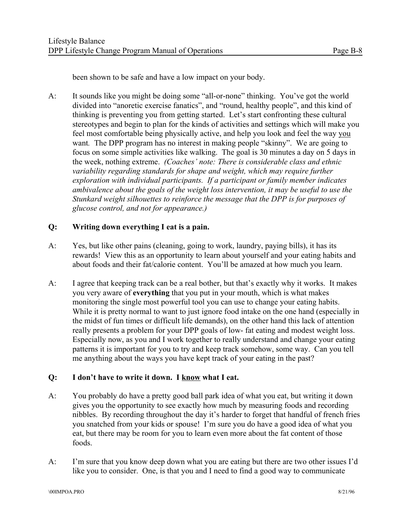been shown to be safe and have a low impact on your body.

A: It sounds like you might be doing some "all-or-none" thinking. You've got the world divided into "anoretic exercise fanatics", and "round, healthy people", and this kind of thinking is preventing you from getting started. Let's start confronting these cultural stereotypes and begin to plan for the kinds of activities and settings which will make you feel most comfortable being physically active, and help you look and feel the way you want. The DPP program has no interest in making people "skinny". We are going to focus on some simple activities like walking. The goal is 30 minutes a day on 5 days in the week, nothing extreme. *(Coaches' note: There is considerable class and ethnic variability regarding standards for shape and weight, which may require further exploration with individual participants. If a participant or family member indicates ambivalence about the goals of the weight loss intervention, it may be useful to use the Stunkard weight silhouettes to reinforce the message that the DPP is for purposes of glucose control, and not for appearance.)* 

#### **Q: Writing down everything I eat is a pain.**

- A: Yes, but like other pains (cleaning, going to work, laundry, paying bills), it has its rewards! View this as an opportunity to learn about yourself and your eating habits and about foods and their fat/calorie content. You'll be amazed at how much you learn.
- A: I agree that keeping track can be a real bother, but that's exactly why it works. It makes you very aware of **everything** that you put in your mouth, which is what makes monitoring the single most powerful tool you can use to change your eating habits. While it is pretty normal to want to just ignore food intake on the one hand (especially in the midst of fun times or difficult life demands), on the other hand this lack of attention really presents a problem for your DPP goals of low- fat eating and modest weight loss. Especially now, as you and I work together to really understand and change your eating patterns it is important for you to try and keep track somehow, some way. Can you tell me anything about the ways you have kept track of your eating in the past?

#### **Q: I don't have to write it down. I know what I eat.**

- A: You probably do have a pretty good ball park idea of what you eat, but writing it down gives you the opportunity to see exactly how much by measuring foods and recording nibbles. By recording throughout the day it's harder to forget that handful of french fries you snatched from your kids or spouse! I'm sure you do have a good idea of what you eat, but there may be room for you to learn even more about the fat content of those foods.
- A: I'm sure that you know deep down what you are eating but there are two other issues I'd like you to consider. One, is that you and I need to find a good way to communicate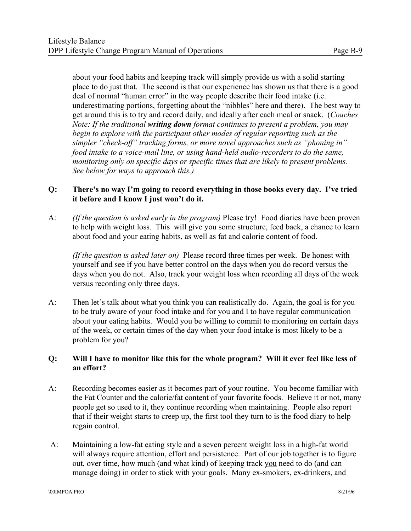about your food habits and keeping track will simply provide us with a solid starting place to do just that. The second is that our experience has shown us that there is a good deal of normal "human error" in the way people describe their food intake (i.e. underestimating portions, forgetting about the "nibbles" here and there). The best way to get around this is to try and record daily, and ideally after each meal or snack. (*Coaches Note: If the traditional writing down format continues to present a problem, you may begin to explore with the participant other modes of regular reporting such as the simpler "check-off" tracking forms, or more novel approaches such as "phoning in" food intake to a voice-mail line, or using hand-held audio-recorders to do the same, monitoring only on specific days or specific times that are likely to present problems. See below for ways to approach this.)* 

#### **Q: There's no way I'm going to record everything in those books every day. I've tried it before and I know I just won't do it.**

A: *(If the question is asked early in the program)* Please try! Food diaries have been proven to help with weight loss. This will give you some structure, feed back, a chance to learn about food and your eating habits, as well as fat and calorie content of food.

*(If the question is asked later on)* Please record three times per week. Be honest with yourself and see if you have better control on the days when you do record versus the days when you do not. Also, track your weight loss when recording all days of the week versus recording only three days.

A: Then let's talk about what you think you can realistically do. Again, the goal is for you to be truly aware of your food intake and for you and I to have regular communication about your eating habits. Would you be willing to commit to monitoring on certain days of the week, or certain times of the day when your food intake is most likely to be a problem for you?

#### **Q: Will I have to monitor like this for the whole program? Will it ever feel like less of an effort?**

- A: Recording becomes easier as it becomes part of your routine. You become familiar with the Fat Counter and the calorie/fat content of your favorite foods. Believe it or not, many people get so used to it, they continue recording when maintaining. People also report that if their weight starts to creep up, the first tool they turn to is the food diary to help regain control.
- A: Maintaining a low-fat eating style and a seven percent weight loss in a high-fat world will always require attention, effort and persistence. Part of our job together is to figure out, over time, how much (and what kind) of keeping track you need to do (and can manage doing) in order to stick with your goals. Many ex-smokers, ex-drinkers, and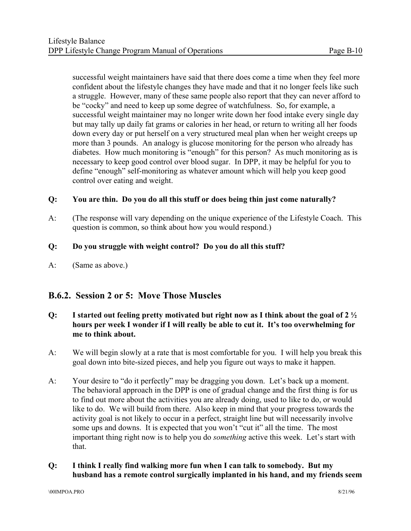successful weight maintainers have said that there does come a time when they feel more confident about the lifestyle changes they have made and that it no longer feels like such a struggle. However, many of these same people also report that they can never afford to be "cocky" and need to keep up some degree of watchfulness. So, for example, a successful weight maintainer may no longer write down her food intake every single day but may tally up daily fat grams or calories in her head, or return to writing all her foods down every day or put herself on a very structured meal plan when her weight creeps up more than 3 pounds. An analogy is glucose monitoring for the person who already has diabetes. How much monitoring is "enough" for this person? As much monitoring as is necessary to keep good control over blood sugar. In DPP, it may be helpful for you to define "enough" self-monitoring as whatever amount which will help you keep good control over eating and weight.

#### **Q: You are thin. Do you do all this stuff or does being thin just come naturally?**

A: (The response will vary depending on the unique experience of the Lifestyle Coach. This question is common, so think about how you would respond.)

#### **Q: Do you struggle with weight control? Do you do all this stuff?**

A: (Same as above.)

### **B.6.2. Session 2 or 5: Move Those Muscles**

#### **Q: I started out feeling pretty motivated but right now as I think about the goal of 2 ½ hours per week I wonder if I will really be able to cut it. It's too overwhelming for me to think about.**

- A: We will begin slowly at a rate that is most comfortable for you. I will help you break this goal down into bite-sized pieces, and help you figure out ways to make it happen.
- A: Your desire to "do it perfectly" may be dragging you down. Let's back up a moment. The behavioral approach in the DPP is one of gradual change and the first thing is for us to find out more about the activities you are already doing, used to like to do, or would like to do. We will build from there. Also keep in mind that your progress towards the activity goal is not likely to occur in a perfect, straight line but will necessarily involve some ups and downs. It is expected that you won't "cut it" all the time. The most important thing right now is to help you do *something* active this week. Let's start with that.
- **Q: I think I really find walking more fun when I can talk to somebody. But my husband has a remote control surgically implanted in his hand, and my friends seem**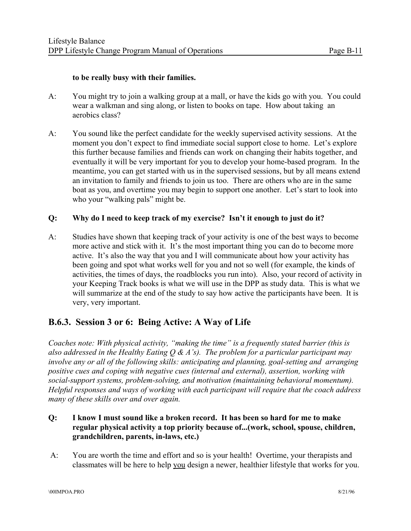#### **to be really busy with their families.**

- A: You might try to join a walking group at a mall, or have the kids go with you. You could wear a walkman and sing along, or listen to books on tape. How about taking an aerobics class?
- A: You sound like the perfect candidate for the weekly supervised activity sessions. At the moment you don't expect to find immediate social support close to home. Let's explore this further because families and friends can work on changing their habits together, and eventually it will be very important for you to develop your home-based program. In the meantime, you can get started with us in the supervised sessions, but by all means extend an invitation to family and friends to join us too. There are others who are in the same boat as you, and overtime you may begin to support one another. Let's start to look into who your "walking pals" might be.

#### **Q: Why do I need to keep track of my exercise? Isn't it enough to just do it?**

A: Studies have shown that keeping track of your activity is one of the best ways to become more active and stick with it. It's the most important thing you can do to become more active. It's also the way that you and I will communicate about how your activity has been going and spot what works well for you and not so well (for example, the kinds of activities, the times of days, the roadblocks you run into). Also, your record of activity in your Keeping Track books is what we will use in the DPP as study data. This is what we will summarize at the end of the study to say how active the participants have been. It is very, very important.

# **B.6.3. Session 3 or 6: Being Active: A Way of Life**

*Coaches note: With physical activity, "making the time" is a frequently stated barrier (this is also addressed in the Healthy Eating Q & A's). The problem for a particular participant may involve any or all of the following skills: anticipating and planning, goal-setting and arranging positive cues and coping with negative cues (internal and external), assertion, working with social-support systems, problem-solving, and motivation (maintaining behavioral momentum). Helpful responses and ways of working with each participant will require that the coach address many of these skills over and over again.* 

- **Q: I know I must sound like a broken record. It has been so hard for me to make regular physical activity a top priority because of...(work, school, spouse, children, grandchildren, parents, in-laws, etc.)**
- A: You are worth the time and effort and so is your health! Overtime, your therapists and classmates will be here to help you design a newer, healthier lifestyle that works for you.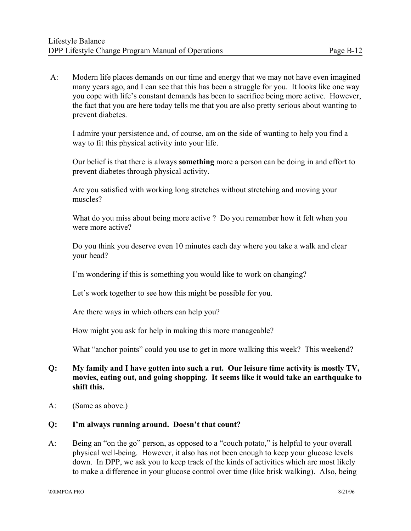A: Modern life places demands on our time and energy that we may not have even imagined many years ago, and I can see that this has been a struggle for you. It looks like one way you cope with life's constant demands has been to sacrifice being more active. However, the fact that you are here today tells me that you are also pretty serious about wanting to prevent diabetes.

I admire your persistence and, of course, am on the side of wanting to help you find a way to fit this physical activity into your life.

Our belief is that there is always **something** more a person can be doing in and effort to prevent diabetes through physical activity.

Are you satisfied with working long stretches without stretching and moving your muscles?

What do you miss about being more active ? Do you remember how it felt when you were more active?

Do you think you deserve even 10 minutes each day where you take a walk and clear your head?

I'm wondering if this is something you would like to work on changing?

Let's work together to see how this might be possible for you.

Are there ways in which others can help you?

How might you ask for help in making this more manageable?

What "anchor points" could you use to get in more walking this week? This weekend?

#### **Q: My family and I have gotten into such a rut. Our leisure time activity is mostly TV, movies, eating out, and going shopping. It seems like it would take an earthquake to shift this.**

A: (Same as above.)

#### **Q: I'm always running around. Doesn't that count?**

A: Being an "on the go" person, as opposed to a "couch potato," is helpful to your overall physical well-being. However, it also has not been enough to keep your glucose levels down. In DPP, we ask you to keep track of the kinds of activities which are most likely to make a difference in your glucose control over time (like brisk walking). Also, being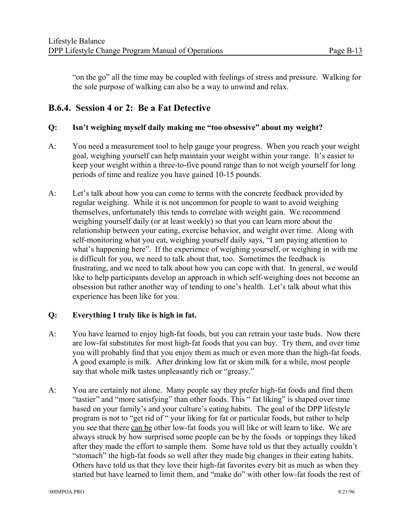"on the go" all the time may be coupled with feelings of stress and pressure. Walking for the sole purpose of walking can also be a way to unwind and relax.

# **B.6.4. Session 4 or 2: Be a Fat Detective**

#### **Q: Isn't weighing myself daily making me "too obsessive" about my weight?**

- A: You need a measurement tool to help gauge your progress. When you reach your weight goal, weighing yourself can help maintain your weight within your range. It's easier to keep your weight within a three-to-five pound range than to not weigh yourself for long periods of time and realize you have gained 10-15 pounds.
- A: Let's talk about how you can come to terms with the concrete feedback provided by regular weighing. While it is not uncommon for people to want to avoid weighing themselves, unfortunately this tends to correlate with weight gain. We recommend weighing yourself daily (or at least weekly) so that you can learn more about the relationship between your eating, exercise behavior, and weight over time. Along with self-monitoring what you eat, weighing yourself daily says, "I am paying attention to what's happening here". If the experience of weighing yourself, or weighing in with me is difficult for you, we need to talk about that, too. Sometimes the feedback is frustrating, and we need to talk about how you can cope with that. In general, we would like to help participants develop an approach in which self-weighing does not become an obsession but rather another way of tending to one's health. Let's talk about what this experience has been like for you.

#### **Q: Everything I truly like is high in fat.**

- A: You have learned to enjoy high-fat foods, but you can retrain your taste buds. Now there are low-fat substitutes for most high-fat foods that you can buy. Try them, and over time you will probably find that you enjoy them as much or even more than the high-fat foods. A good example is milk. After drinking low fat or skim milk for a while, most people say that whole milk tastes unpleasantly rich or "greasy."
- A: You are certainly not alone. Many people say they prefer high-fat foods and find them "tastier" and "more satisfying" than other foods. This " fat liking" is shaped over time based on your family's and your culture's eating habits. The goal of the DPP lifestyle program is not to "get rid of " your liking for fat or particular foods, but rather to help you see that there can be other low-fat foods you will like or will learn to like. We are always struck by how surprised some people can be by the foods or toppings they liked after they made the effort to sample them. Some have told us that they actually couldn't "stomach" the high-fat foods so well after they made big changes in their eating habits. Others have told us that they love their high-fat favorites every bit as much as when they started but have learned to limit them, and "make do" with other low-fat foods the rest of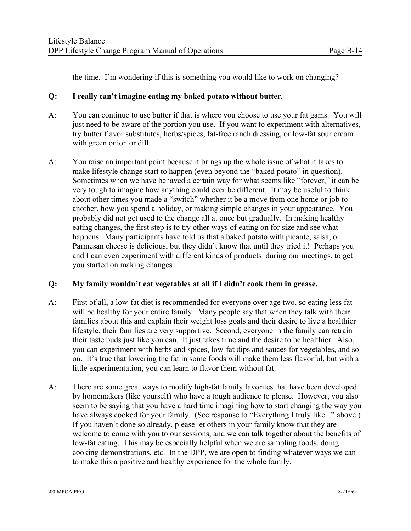the time. I'm wondering if this is something you would like to work on changing?

#### **Q: I really can't imagine eating my baked potato without butter.**

- A: You can continue to use butter if that is where you choose to use your fat gams. You will just need to be aware of the portion you use. If you want to experiment with alternatives, try butter flavor substitutes, herbs/spices, fat-free ranch dressing, or low-fat sour cream with green onion or dill.
- A: You raise an important point because it brings up the whole issue of what it takes to make lifestyle change start to happen (even beyond the "baked potato" in question). Sometimes when we have behaved a certain way for what seems like "forever," it can be very tough to imagine how anything could ever be different. It may be useful to think about other times you made a "switch" whether it be a move from one home or job to another, how you spend a holiday, or making simple changes in your appearance. You probably did not get used to the change all at once but gradually. In making healthy eating changes, the first step is to try other ways of eating on for size and see what happens. Many participants have told us that a baked potato with picante, salsa, or Parmesan cheese is delicious, but they didn't know that until they tried it! Perhaps you and I can even experiment with different kinds of products during our meetings, to get you started on making changes.

#### **Q: My family wouldn't eat vegetables at all if I didn't cook them in grease.**

- A: First of all, a low-fat diet is recommended for everyone over age two, so eating less fat will be healthy for your entire family. Many people say that when they talk with their families about this and explain their weight loss goals and their desire to live a healthier lifestyle, their families are very supportive. Second, everyone in the family can retrain their taste buds just like you can. It just takes time and the desire to be healthier. Also, you can experiment with herbs and spices, low-fat dips and sauces for vegetables, and so on. It's true that lowering the fat in some foods will make them less flavorful, but with a little experimentation, you can learn to flavor them without fat.
- A: There are some great ways to modify high-fat family favorites that have been developed by homemakers (like yourself) who have a tough audience to please. However, you also seem to be saying that you have a hard time imagining how to start changing the way you have always cooked for your family. (See response to "Everything I truly like..." above.) If you haven't done so already, please let others in your family know that they are welcome to come with you to our sessions, and we can talk together about the benefits of low-fat eating. This may be especially helpful when we are sampling foods, doing cooking demonstrations, etc. In the DPP, we are open to finding whatever ways we can to make this a positive and healthy experience for the whole family.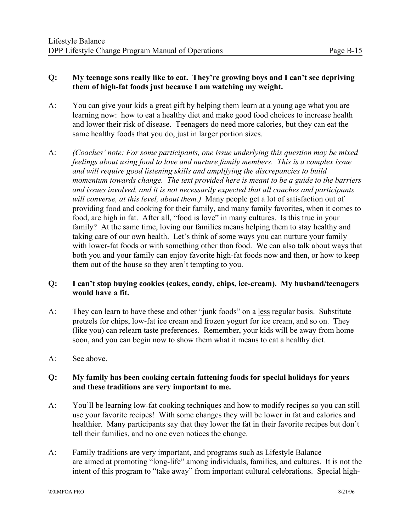#### **Q: My teenage sons really like to eat. They're growing boys and I can't see depriving them of high-fat foods just because I am watching my weight.**

- A: You can give your kids a great gift by helping them learn at a young age what you are learning now: how to eat a healthy diet and make good food choices to increase health and lower their risk of disease. Teenagers do need more calories, but they can eat the same healthy foods that you do, just in larger portion sizes.
- A: *(Coaches' note: For some participants, one issue underlying this question may be mixed feelings about using food to love and nurture family members. This is a complex issue and will require good listening skills and amplifying the discrepancies to build momentum towards change. The text provided here is meant to be a guide to the barriers and issues involved, and it is not necessarily expected that all coaches and participants will converse, at this level, about them.)* Many people get a lot of satisfaction out of providing food and cooking for their family, and many family favorites, when it comes to food, are high in fat. After all, "food is love" in many cultures. Is this true in your family? At the same time, loving our families means helping them to stay healthy and taking care of our own health. Let's think of some ways you can nurture your family with lower-fat foods or with something other than food. We can also talk about ways that both you and your family can enjoy favorite high-fat foods now and then, or how to keep them out of the house so they aren't tempting to you.

#### **Q: I can't stop buying cookies (cakes, candy, chips, ice-cream). My husband/teenagers would have a fit.**

- A: They can learn to have these and other "junk foods" on a less regular basis. Substitute pretzels for chips, low-fat ice cream and frozen yogurt for ice cream, and so on. They (like you) can relearn taste preferences. Remember, your kids will be away from home soon, and you can begin now to show them what it means to eat a healthy diet.
- A: See above.

#### **Q: My family has been cooking certain fattening foods for special holidays for years and these traditions are very important to me.**

- A: You'll be learning low-fat cooking techniques and how to modify recipes so you can still use your favorite recipes! With some changes they will be lower in fat and calories and healthier. Many participants say that they lower the fat in their favorite recipes but don't tell their families, and no one even notices the change.
- A: Family traditions are very important, and programs such as Lifestyle Balance are aimed at promoting "long-life" among individuals, families, and cultures. It is not the intent of this program to "take away" from important cultural celebrations. Special high-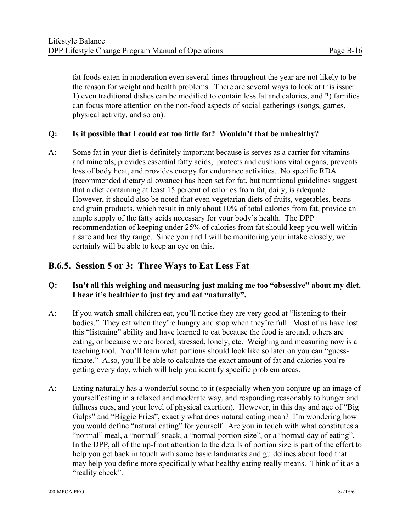fat foods eaten in moderation even several times throughout the year are not likely to be the reason for weight and health problems. There are several ways to look at this issue: 1) even traditional dishes can be modified to contain less fat and calories, and 2) families can focus more attention on the non-food aspects of social gatherings (songs, games, physical activity, and so on).

#### **Q: Is it possible that I could eat too little fat? Wouldn't that be unhealthy?**

A: Some fat in your diet is definitely important because is serves as a carrier for vitamins and minerals, provides essential fatty acids, protects and cushions vital organs, prevents loss of body heat, and provides energy for endurance activities. No specific RDA (recommended dietary allowance) has been set for fat, but nutritional guidelines suggest that a diet containing at least 15 percent of calories from fat, daily, is adequate. However, it should also be noted that even vegetarian diets of fruits, vegetables, beans and grain products, which result in only about 10% of total calories from fat, provide an ample supply of the fatty acids necessary for your body's health. The DPP recommendation of keeping under 25% of calories from fat should keep you well within a safe and healthy range. Since you and I will be monitoring your intake closely, we certainly will be able to keep an eye on this.

## **B.6.5. Session 5 or 3: Three Ways to Eat Less Fat**

#### **Q: Isn't all this weighing and measuring just making me too "obsessive" about my diet. I hear it's healthier to just try and eat "naturally".**

- A: If you watch small children eat, you'll notice they are very good at "listening to their bodies." They eat when they're hungry and stop when they're full. Most of us have lost this "listening" ability and have learned to eat because the food is around, others are eating, or because we are bored, stressed, lonely, etc. Weighing and measuring now is a teaching tool. You'll learn what portions should look like so later on you can "guesstimate." Also, you'll be able to calculate the exact amount of fat and calories you're getting every day, which will help you identify specific problem areas.
- A: Eating naturally has a wonderful sound to it (especially when you conjure up an image of yourself eating in a relaxed and moderate way, and responding reasonably to hunger and fullness cues, and your level of physical exertion). However, in this day and age of "Big Gulps" and "Biggie Fries", exactly what does natural eating mean? I'm wondering how you would define "natural eating" for yourself. Are you in touch with what constitutes a "normal" meal, a "normal" snack, a "normal portion-size", or a "normal day of eating". In the DPP, all of the up-front attention to the details of portion size is part of the effort to help you get back in touch with some basic landmarks and guidelines about food that may help you define more specifically what healthy eating really means. Think of it as a "reality check".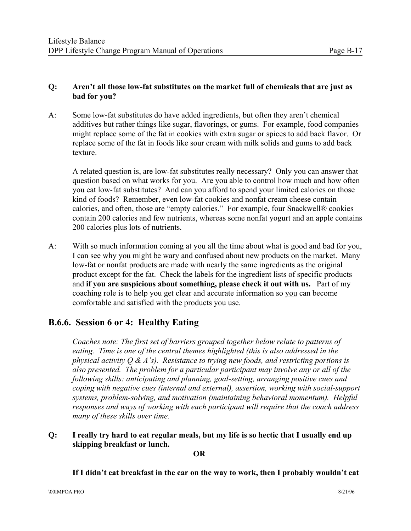#### **Q: Aren't all those low-fat substitutes on the market full of chemicals that are just as bad for you?**

A: Some low-fat substitutes do have added ingredients, but often they aren't chemical additives but rather things like sugar, flavorings, or gums. For example, food companies might replace some of the fat in cookies with extra sugar or spices to add back flavor. Or replace some of the fat in foods like sour cream with milk solids and gums to add back texture.

A related question is, are low-fat substitutes really necessary? Only you can answer that question based on what works for you. Are you able to control how much and how often you eat low-fat substitutes? And can you afford to spend your limited calories on those kind of foods? Remember, even low-fat cookies and nonfat cream cheese contain calories, and often, those are "empty calories." For example, four Snackwell® cookies contain 200 calories and few nutrients, whereas some nonfat yogurt and an apple contains 200 calories plus lots of nutrients.

A: With so much information coming at you all the time about what is good and bad for you, I can see why you might be wary and confused about new products on the market. Many low-fat or nonfat products are made with nearly the same ingredients as the original product except for the fat. Check the labels for the ingredient lists of specific products and **if you are suspicious about something, please check it out with us.** Part of my coaching role is to help you get clear and accurate information so you can become comfortable and satisfied with the products you use.

# **B.6.6. Session 6 or 4: Healthy Eating**

*Coaches note: The first set of barriers grouped together below relate to patterns of eating. Time is one of the central themes highlighted (this is also addressed in the physical activity Q & A's). Resistance to trying new foods, and restricting portions is also presented. The problem for a particular participant may involve any or all of the following skills: anticipating and planning, goal-setting, arranging positive cues and coping with negative cues (internal and external), assertion, working with social-support systems, problem-solving, and motivation (maintaining behavioral momentum). Helpful responses and ways of working with each participant will require that the coach address many of these skills over time.* 

**Q: I really try hard to eat regular meals, but my life is so hectic that I usually end up skipping breakfast or lunch.** 

**OR** 

#### **If I didn't eat breakfast in the car on the way to work, then I probably wouldn't eat**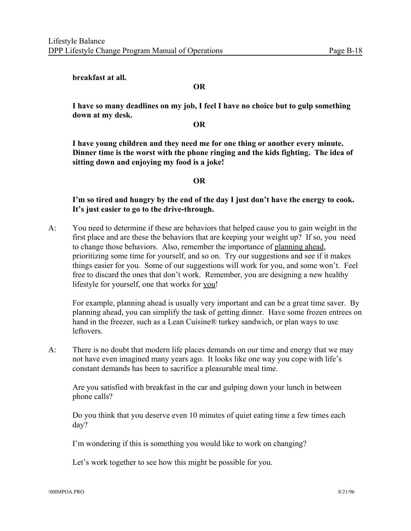#### **breakfast at all.**

#### **OR**

**I have so many deadlines on my job, I feel I have no choice but to gulp something down at my desk.** 

#### **OR**

**I have young children and they need me for one thing or another every minute. Dinner time is the worst with the phone ringing and the kids fighting. The idea of sitting down and enjoying my food is a joke!** 

#### **OR**

**I'm so tired and hungry by the end of the day I just don't have the energy to cook. It's just easier to go to the drive-through.** 

A: You need to determine if these are behaviors that helped cause you to gain weight in the first place and are these the behaviors that are keeping your weight up? If so, you need to change those behaviors. Also, remember the importance of planning ahead, prioritizing some time for yourself, and so on. Try our suggestions and see if it makes things easier for you. Some of our suggestions will work for you, and some won't. Feel free to discard the ones that don't work. Remember, you are designing a new healthy lifestyle for yourself, one that works for you!

For example, planning ahead is usually very important and can be a great time saver. By planning ahead, you can simplify the task of getting dinner. Have some frozen entrees on hand in the freezer, such as a Lean Cuisine® turkey sandwich, or plan ways to use leftovers.

A: There is no doubt that modern life places demands on our time and energy that we may not have even imagined many years ago. It looks like one way you cope with life's constant demands has been to sacrifice a pleasurable meal time.

Are you satisfied with breakfast in the car and gulping down your lunch in between phone calls?

Do you think that you deserve even 10 minutes of quiet eating time a few times each day?

I'm wondering if this is something you would like to work on changing?

Let's work together to see how this might be possible for you.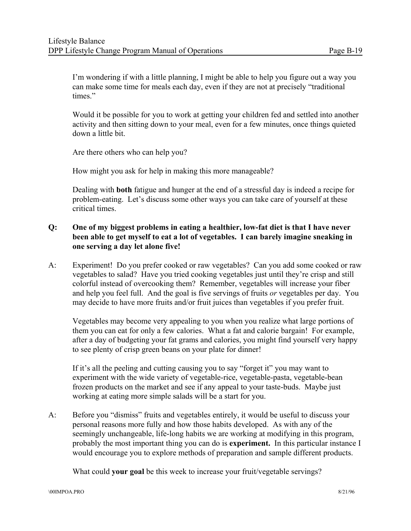I'm wondering if with a little planning, I might be able to help you figure out a way you can make some time for meals each day, even if they are not at precisely "traditional times."

Would it be possible for you to work at getting your children fed and settled into another activity and then sitting down to your meal, even for a few minutes, once things quieted down a little bit.

Are there others who can help you?

How might you ask for help in making this more manageable?

Dealing with **both** fatigue and hunger at the end of a stressful day is indeed a recipe for problem-eating. Let's discuss some other ways you can take care of yourself at these critical times.

#### **Q: One of my biggest problems in eating a healthier, low-fat diet is that I have never been able to get myself to eat a lot of vegetables. I can barely imagine sneaking in one serving a day let alone five!**

A: Experiment! Do you prefer cooked or raw vegetables? Can you add some cooked or raw vegetables to salad? Have you tried cooking vegetables just until they're crisp and still colorful instead of overcooking them? Remember, vegetables will increase your fiber and help you feel full. And the goal is five servings of fruits *or* vegetables per day. You may decide to have more fruits and/or fruit juices than vegetables if you prefer fruit.

Vegetables may become very appealing to you when you realize what large portions of them you can eat for only a few calories. What a fat and calorie bargain! For example, after a day of budgeting your fat grams and calories, you might find yourself very happy to see plenty of crisp green beans on your plate for dinner!

If it's all the peeling and cutting causing you to say "forget it" you may want to experiment with the wide variety of vegetable-rice, vegetable-pasta, vegetable-bean frozen products on the market and see if any appeal to your taste-buds. Maybe just working at eating more simple salads will be a start for you.

A: Before you "dismiss" fruits and vegetables entirely, it would be useful to discuss your personal reasons more fully and how those habits developed. As with any of the seemingly unchangeable, life-long habits we are working at modifying in this program, probably the most important thing you can do is **experiment.** In this particular instance I would encourage you to explore methods of preparation and sample different products.

What could **your goal** be this week to increase your fruit/vegetable servings?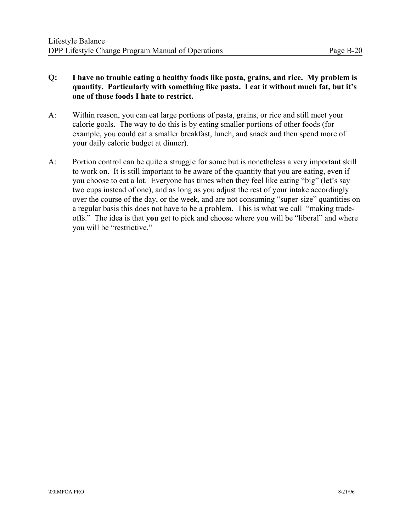#### **Q: I have no trouble eating a healthy foods like pasta, grains, and rice. My problem is quantity. Particularly with something like pasta. I eat it without much fat, but it's one of those foods I hate to restrict.**

- A: Within reason, you can eat large portions of pasta, grains, or rice and still meet your calorie goals. The way to do this is by eating smaller portions of other foods (for example, you could eat a smaller breakfast, lunch, and snack and then spend more of your daily calorie budget at dinner).
- A: Portion control can be quite a struggle for some but is nonetheless a very important skill to work on. It is still important to be aware of the quantity that you are eating, even if you choose to eat a lot. Everyone has times when they feel like eating "big" (let's say two cups instead of one), and as long as you adjust the rest of your intake accordingly over the course of the day, or the week, and are not consuming "super-size" quantities on a regular basis this does not have to be a problem. This is what we call "making tradeoffs." The idea is that **you** get to pick and choose where you will be "liberal" and where you will be "restrictive."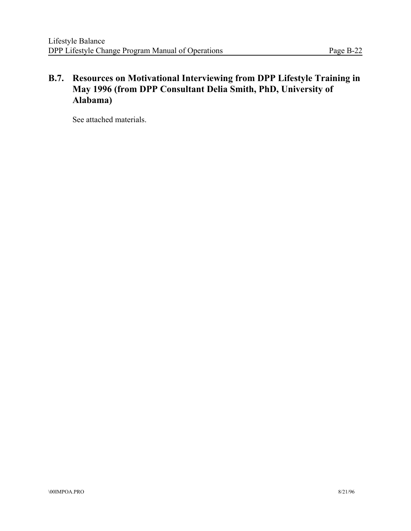# **B.7. Resources on Motivational Interviewing from DPP Lifestyle Training in May 1996 (from DPP Consultant Delia Smith, PhD, University of Alabama)**

See attached materials.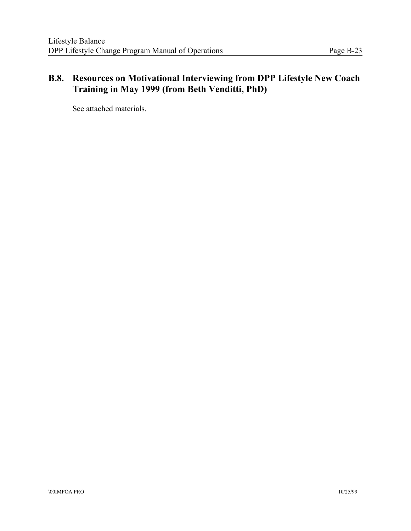# **B.8. Resources on Motivational Interviewing from DPP Lifestyle New Coach Training in May 1999 (from Beth Venditti, PhD)**

See attached materials.